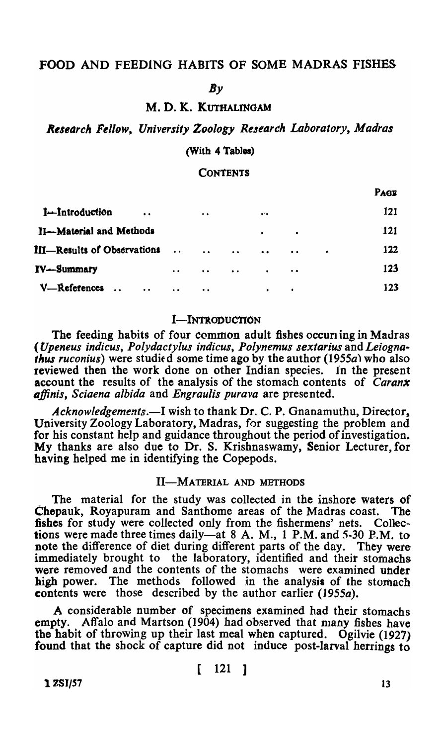# FOOD AND FEEDING HABITS OF SOME MADRAS FISHES

#### *By*

## M. D. K. KUTHALINGAM

R~s,arch *Fellow, University Zoology Research Laboratory, Madras* 

#### (With 4 Tables)

#### **CONTENTS**

|                                                             |                     |                     |           |                     |             |           | PAGE |
|-------------------------------------------------------------|---------------------|---------------------|-----------|---------------------|-------------|-----------|------|
| 1-Introduction<br>$\ddot{\phantom{a}}$                      |                     | $\bullet$ $\bullet$ |           | $\bullet$           |             |           | 121  |
| II-Material and Methods                                     |                     |                     |           | $\bullet$           | $\bullet$   |           | 121  |
| III—Results of Observations                                 |                     | $\dddot{\bullet}$   | $\bullet$ | $\bullet$ $\bullet$ | $\bullet$ . | $\bullet$ | 122  |
| <b>IV-Summary</b>                                           | $\bullet$ $\bullet$ | $\bullet$ $\bullet$ | $\bullet$ | $\bullet$           | $\bullet$   |           | 123  |
| V-References<br>$\ddot{\phantom{a}}$<br>$\bullet$ $\bullet$ | $\bullet$ $\bullet$ | $\bullet$           |           | $\bullet$           | ٠           |           | 123  |

#### I-INTRODUCTION

The feeding habits of four common adult fishes occuring in Madras *(tJpeneus indicus, Polydactylus indicus, Polynemus sextarius* and *Leiognathus ruconius*) were studied some time ago by the author (1955a) who also reviewed then the work done on other Indian species. In the present account the results of the analysis of the stomach contents of *Caranx tlffinis, Sciaena albida* and *Engraulis purava* are presented.

Acknowledgements.—I wish to thank Dr. C. P. Gnanamuthu, Director, University Zoology Laboratory, Madras, for suggesting the problem and for his constant help and guidance throughout the period of investigation. My thanks are also due to Dr. S. Krishnaswamy, Senior Lecturer, for having helped me in identifying the Copepods.

## II-MATERIAL AND METHODS

The material for the study was collected in the inshore waters of Chepauk, Royapuram and Santhome areas of the Madras coast. The fishes for study were collected only from the fishermens' nets. Collections were made three times daily—at  $8$  A. M., 1 P.M. and  $5-30$  P.M. to note the difference of diet during different parts of the day. They were immediately brought to the laboratory, identified and their stomachs the laboratory, identified and their stomachs were removed and the contents of the stomachs were examined under high power. The methods followed in the analysis of the stomach contents were those described by the author earlier (1955a).

A considerable number of specimens examined had their stomachs empty. Affalo and Martson (1904) had observed that many fishes have the habit of throwing up their last meal when captured. Ogilvie (1927) found that the shock of capture did not induce post-larval herrings to

**1**  $2\text{SI}/57$  13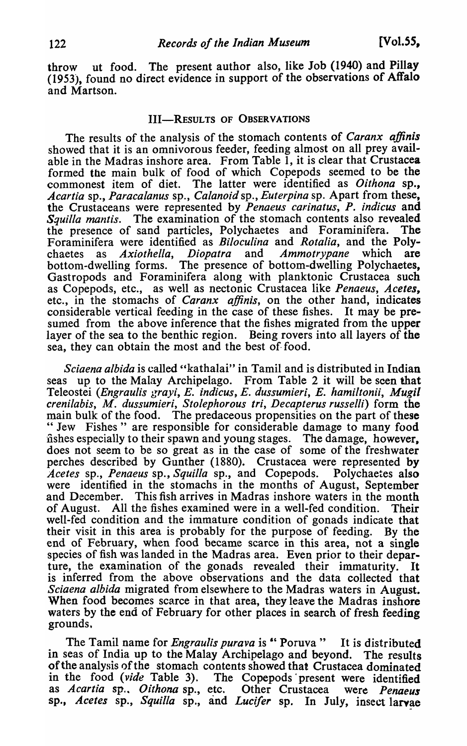throw ut food. The present author also, like Job (1940) and Pillay (1953), found no direct evidence in support of the observations of Affalo and Martson.

#### III-RESULTS OF OBSERVATIONS

The results of the analysis of the stomach contents of *Caranx affinis*  showed that it is an omnivorous feeder, feeding almost on all prey available in the Madras inshore area. From Table 1, it is clear that Crustacea formed tbe main bulk of food of which Copepods seemed to be the commonest item of diet. The latter were identified as *Oithona* sp., *Acartia* sp., *Paraca/anus* sp., *Ca/anoid* sp., *Euterpina* sp. Apart from these, the Crustaceans were represented by *Penaeus carinatus*, P. indicus and *Squilla mantis.* The examination of the stomach contents also revealed the presence of sand particles, Polychaetes and Foraminifera. The Foraminifera were identified as *Biloculina* and *Rotalia,* and the Polychaetes as *Axiothella, Diopatra* and *Ammotrypane* which are bottom-dwelling forms. The presence of bottom-dwelling Polychaetes, Gastropods and Foraminifera along with planktonic Crustacea such as Copepods, etc., as well as nectonic Crustacea like *Penaeus, Acetes,*  etc., in the stomachs of *Caranx ajJinis,* on the other hand, indicates considerable vertical feeding in the case of these fishes. It may be presumed from the above inference that the fishes migrated from the upper layer of the sea to the benthic region. Being rovers into all layers of the sea, they can obtain the most and the best of- food.

*Sciaena a/bida* is called "kathalai" in Tamil and is distributed in Indian seas up to the Malay Archipelago. From Table 2 it will be seen that Teleostei (Engraulis grayi, E. indicus, E. dussumieri, E. hamiltonii, Mugil *crenilabis, M. dussumieri, Stolephorous Iri, Decapterus russelli)* form the main bulk of the food. The predaceous propensities on the part of these "Jew Fishes" are responsible for considerable damage to many food fishes especially to their spawn and young stages. The damage, however, does not seem to be so great as in the case of some of the freshwater perches described by Gunther (1880). Crustacea were represented by *Acetes* sp., *Penaeus* sp., *Squilla* sp., and Copepods. Polychaetes also were identified in the stomachs in the months of August, September and December. This fish arrives in Madras inshore waters in the month of August. All the fishes examined were in a well-fed condition. Their All the fishes examined were in a well-fed condition. Their well-fed condition and the immature condition of gonads indicate that their visit in this area is probably for the purpose of feeding. By the end of February, when food became scarce in this area, not a single species of fish was landed in the Madras area. Even prior to their departure, the examination of the gonads revealed their immaturity. It is inferred from the above observations and the data collected that *Sciaena albida* migrated from elsewhere to the Madras waters in August. When food becomes scarce in that area, they leave the Madras inshore waters by the end of February for other places in search of fresh feeding grounds,

The Tamil name for *Engraulis purava* is " Poruva " It is distributed in seas of India up to the Malay Archipelago and beyond. The results of the analysis of the stomach contents showed that Crustacea dominated in the food *(vide* Table 3). The Copepods present were identified as *Acartia* sp... *Oithona* sp., etc. Other Crustacea were *Penaeus*  sp., *Acetes* sp., *Squilla* sp., and *Lucifer* sp. In July, insect larvae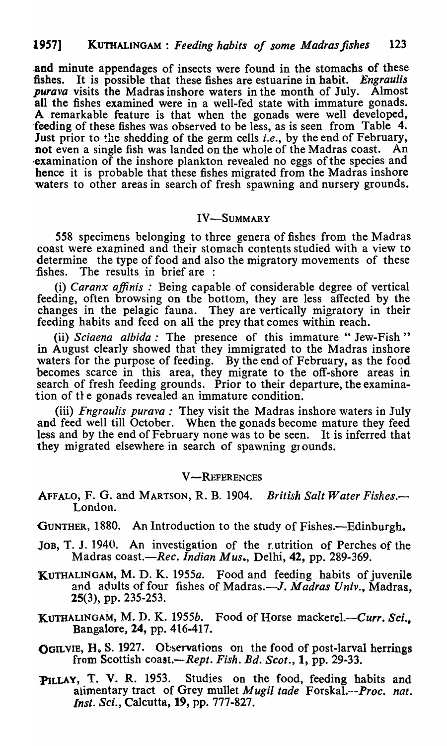and minute appendages of insects were found in the stomachs of these fishes. It is possible that these fishes are estuarine in habit. Engraulis It is possible that these fishes are estuarine in habit. *Engraulis purava* visits the Madras inshore waters in the month of July. Almost all the fishes examined were in a well-fed state with immature gonads. A remarkable feature is that when the gonads were well developed, feeding of these fishes was observed to be less, as is seen from Table 4. Just prior to the shedding of the germ cells *i.e.,* by the end of February, not even a single fish was landed on the whole of the Madras coast. An examination of the inshore plankton revealed no eggs of the species and hence it is probable that these fishes migrated from the Madras inshore 'waters to other areas in search of fresh spawning and nursery grounds.

## IV-SUMMARY

558 specimens belonging to three genera of fishes from the Madras coast were examined and their stomach contents studied with a view to determine the type of food and also the migratory movements of these fishes. The results in brief are: The results in brief are :

(i) *Caranx affinis* : Being capable of considerable degree of vertical feeding, often browsing on the bottom, they are less affected by the changes in the pelagic fauna. They are vertically migratory in their feeding habits and feed on all the prey that comes within reach.

(ii) *Sciaena albida*: The presence of this immature "Jew-Fish" in August clearly showed that they immigrated to the Madras inshore waters for the purpose of feeding. By the end of February, as the food becomes scarce in this area, they migrate to the off-shore areas in search of fresh feeding grounds. Prior to their departure, the examination of the gonads revealed an immature condition.

(iii) *Fngraulis purava:* They visit the Madras inshore waters in July and feed well till October. When the gonads become mature they feed less and by the end of February none was to be seen. It is inferred that they migrated elsewhere in search of spawning grounds.

## **V-REFERENCES**

AFFALO, F. G. and MARTSON, R. B. 1904. *British Salt Water Fishes.-* London.

GUNTHER, 1880. An Introduction to the study of Fishes.—Edinburgh.

- JOB, T. J. 1940. An investigation of the rutrition of Perches of the Madras *coast.-Rec. Indian Mus.,* Delhi, 42, pp. 289-369.
- KUTHALINGAM, M. D. K. 1955a. Food and feeding habits of juvenile and adults of four fishes of Madras.—*J. Madras Univ.*, Madras, 25(3), pp. 235-253.
- KUTHALINGAM, M. D. K. *1955b.* Food of Horse *mackerel.-Curr. Sci.,*  Bangalore, 24, pp. 416-417.
- OGILVIE,  $H_v S. 1927.$  Observations on the food of post-larval herrings from Scottish coast.— Rept. Fish. Bd. Scot., 1, pp. 29-33.
- PILLAY, T. V. R. 1953. Studies on the food, feeding habits and alimentary tract of Grey mullet *kJugil tade Forskal.·--Proc. nat. Insl. Sci.,* Calcutta, 19, pp. 777-827.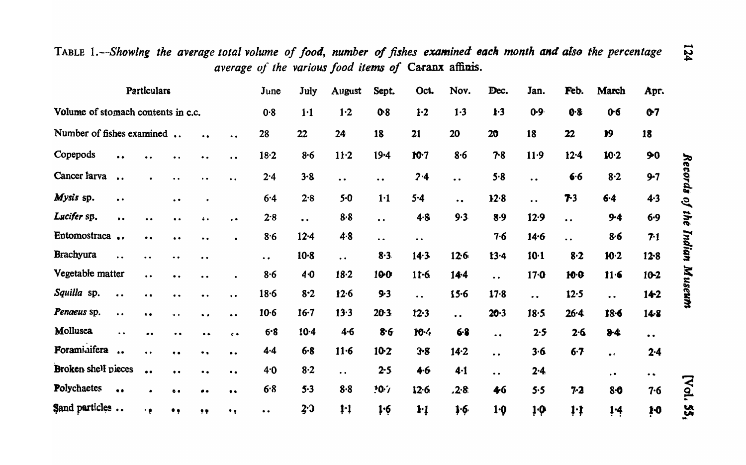TABLE 1.--Showing the average total volume of food, number of fishes examined each month and also the percentage average of the various food items of Caranx affinis.

| Particulars                        |                      |                                        |                      |                     |                      | June                | July                 | August                                        | Sept.                | Oct.             | Nov.                 | Dec.                          | Jan.                 | Feb.                 | March               | Apr.                          |             |
|------------------------------------|----------------------|----------------------------------------|----------------------|---------------------|----------------------|---------------------|----------------------|-----------------------------------------------|----------------------|------------------|----------------------|-------------------------------|----------------------|----------------------|---------------------|-------------------------------|-------------|
| Volume of stomach contents in c.c. |                      |                                        |                      |                     |                      | 0.8                 | 1·1                  | 1·2                                           | 0.8                  | $1-2$            | $1-3$                | $\mathbf{1} \cdot \mathbf{3}$ | $0.9 -$              | 0.8                  | 0.6                 | Q <sub>7</sub>                |             |
| Number of fishes examined          |                      |                                        |                      | $\bullet$           | $\bullet$            | 28                  | 22                   | 24                                            | 18                   | 21               | 20                   | 20                            | 18                   | 22                   | 19                  | 18                            |             |
| Copepods                           |                      |                                        |                      |                     | $\ddot{\phantom{0}}$ | $18-2$              | $8 - 6$              | $11-2$                                        | $19 - 4$             | $10-7$           | 8.6                  | 78                            | 11.9                 | $12 - 4$             | $10-2$              | 90                            |             |
| Cancer farva                       | $\bullet$            |                                        | $\bullet$            |                     | $\bullet$            | 2.4                 | $3-8$                | $\bullet\hspace{0.4mm} \bullet\hspace{0.4mm}$ | $\bullet$            | 2.4              | $\ddot{\phantom{0}}$ | 5.8                           | $\bullet$ $\bullet$  | 6.6                  | 8.2                 | $9-7$                         | Records     |
| Mysis sp.                          | $\bullet$            |                                        | $\bullet$ $\bullet$  |                     |                      | 6.4                 | 2.8                  | $5-0$                                         | 1 <sup>1</sup>       | 5.4              | $\ddot{\phantom{a}}$ | 12.8                          | $\ddot{\phantom{0}}$ | 73                   | $6 - 4$             | $4-3$                         | $\tilde{e}$ |
| Lucifer sp.                        | $\bullet$            |                                        | $\bullet$            |                     | $\cdot$ $\cdot$      | 2.8                 | $\ddot{\phantom{a}}$ | $8-8$                                         | $\ddot{\phantom{a}}$ | 4.8              | 9.3                  | 8.9                           | $12-9$               | $\bullet$ $\bullet$  | $9 - 4$             | $6 - 9$                       | the         |
| Entomostraca                       |                      | $\bullet$ $\bullet$                    | $\bullet\; \bullet$  | $\bullet$ $\bullet$ | $\bullet$            | 8.6                 | $12 - 4$             | 4.8                                           | $\bullet$ $\bullet$  | $\ddot{\bullet}$ |                      | 7.6                           | 14.6                 | $\ddot{\phantom{a}}$ | 8.6                 | 7.1                           |             |
| Brachyura                          | $\ddot{\bullet}$     | . .                                    | $\bullet$            | $\bullet$           |                      | $\bullet$ $\bullet$ | $10-8$               | $\ddot{\phantom{a}}$                          | $8 - 3$              | 14.3             | 126                  | $13 - 4$                      | $10 - 1$             | $8-2$                | $10-2$              | 128                           | Indian      |
| Vegetable matter                   |                      | $\ddot{\phantom{0}}\phantom{0}\bullet$ | $\bullet$ $\bullet$  |                     |                      | 8·6                 | 4·0                  | $18-2$                                        | 100                  | $11-6$           | $14-4$               | $\ddot{\phantom{a}}$          | 17·0                 | $10-0$               | $11 - 6$            | $10 - 2$                      |             |
| Squilla sp.                        | $\bullet$ $\bullet$  | $^{\bullet}$                           | $\bullet$            | $\bullet\bullet$    | $\bullet$            | $18-6$              | $8-2$                | 12.6                                          | $9-3$                | $\ddot{\bullet}$ | $15 - 6$             | $17 - 8$                      | $\bullet$            | $12 - 5$             | $\bullet$           | 142                           | Museum      |
| Penaeus sp.                        | $\ddot{\phantom{a}}$ | $\ddot{\phantom{a}}$                   | $\bullet$            | $\bullet$           | $\bullet$            | $10-6$              | $16 - 7$             | 13.3                                          | $20-3$               | 12.3             | $\ddot{\phantom{a}}$ | 20.3                          | $18 - 5$             | $26 - 4$             | 18.6                | 14.8                          |             |
| Mollusca                           | $\ddot{\phantom{0}}$ |                                        | $\ddot{\phantom{a}}$ | $\bullet$           | $\ddot{\phantom{a}}$ | 6.8                 | $10-4$               | $4 - 6$                                       | 8.6                  | $10 - 4$         | $6 - 8$              | $\bullet$                     | 2.5                  | 2.6                  | $8-4$               | $\bullet$ $\bullet$           |             |
| Foraminifera                       | $\bullet$            |                                        | $\bullet$            | $\bullet$ .         | $\bullet$ $\bullet$  | 4.4                 | $6 - 8$              | $11-6$                                        | $10-2$               | $3 - 8$          | $14-2$               | $\ddot{\phantom{a}}$          | 3.6                  | $6-7$                | $\bullet$ $\bullet$ | $2 - 4$                       |             |
| Broken shell pieces                |                      | $\bullet$                              | $\bullet$ $\bullet$  | $\bullet$ $\bullet$ | $\bullet$            | 4.0                 | 8·2                  | $\ddot{\bullet}$                              | $2 - 5$              | 4.6              | $4 - 1$              | $\ddot{\phantom{a}}$          | $2 - 4$              |                      | $\bullet$           | $\bullet$ $\bullet$           |             |
| <b>Polychaetes</b>                 | $\bullet$ $\bullet$  | ٠                                      | $\bullet$            | $\bullet$           | $\bullet$            | 6.8                 | 5.3                  | $8 - 8$                                       | 10.7                 | 12.6             | .2.8.                | 46                            | 5.5                  | $7-2$                | $8-0$               | 7.6                           | [Vol.       |
| Sand particles                     |                      | ٠e                                     | $\bullet$ ,          | 99                  | ٠,                   | $\bullet\,\bullet$  | 2.0                  | 1 <sup>1</sup>                                | 1.6                  | $1-1$            | 1.6                  | $1-0$                         | $1 \cdot \rho$       | 1:1                  | 1.4                 | $\mathbf{1} \cdot \mathbf{0}$ | <b>SP</b>   |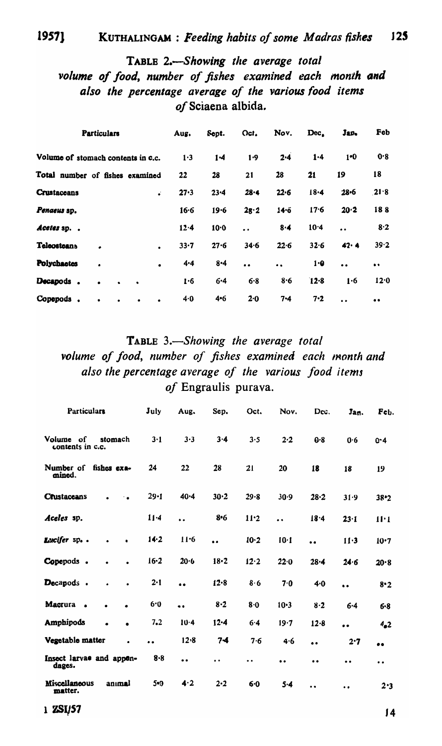#### 19571 KUTHALINGAM : Feeding habits of some Madras fishes 125

# TABLE 2.-Showing the average total volume of food, number of fishes examined each month and also the percentage average of the various food items of Sciaena albida.

| <b>Particulars</b>                            | Aug.     | Sept.    | Oct.                 | Nov.      | Dec.   | Jap.                 | Feb       |
|-----------------------------------------------|----------|----------|----------------------|-----------|--------|----------------------|-----------|
| Volume of stomach contents in c.c.            | 1.3      | $1-4$    | 1.9                  | 2.4       | 1.4    | 1 <sup>0</sup>       | 0.8       |
| Total number of fishes examined               | 22       | 28       | 21                   | 28        | 21     | 19                   | 18        |
| Crustaceans<br>s.                             | 27.3     | $23 - 4$ | $28 - 4$             | 22.6      | 18.4   | $28 - 6$             | 21.8      |
| Penaeus sp.                                   | $16 - 6$ | 19.6     | 28.2                 | 14.6      | 17.6   | 20.2                 | 188       |
| Acetes sp. .                                  | 12.4     | $10 - 0$ | $\ddot{\phantom{a}}$ | 8.4       | 10.4   | $\ddot{\phantom{a}}$ | 8.2       |
| Teleosteans<br>٠<br>$\bullet$                 | $33 - 7$ | 27.6     | 34.6                 | 22.6      | 32.6   | 42.4                 | 39.2      |
| <b>Polychaetes</b><br>$\bullet$<br>$\bullet$  | 4.4      | $8 - 4$  | $\bullet$            | $\bullet$ | 1.0    | $\bullet$            | $\bullet$ |
| Decapods.                                     | 1.6      | $6 - 4$  | 6.8                  | 8.6       | $12-8$ | 1.6                  | 12.0      |
| Copepods.<br>$\bullet$<br>٠<br>$\bullet$<br>٠ | 4.0      | 4.6      | 2.0                  | $7 - 4$   | 7.2    | $\ddot{\phantom{a}}$ | $\bullet$ |

TABLE 3.-Showing the average total volume of food, number of fishes examined each month and also the percentage average of the various food items of Engraulis purava.

| Particulars                                | July                 | Aug.                 | Sep.                 | Oct.                 | Nov.                 | Dcc.                 | Jan.                 | Feb.                 |
|--------------------------------------------|----------------------|----------------------|----------------------|----------------------|----------------------|----------------------|----------------------|----------------------|
| Volume of<br>stomach<br>contents in c.c.   | $3-1$                | 3.3                  | $3 - 4$              | 3.5                  | 2.2                  | 0.8                  | 0.6                  | $0 - 4$              |
| Number of<br>fishes exa-<br>mined.         | 24                   | 22                   | 28                   | 21                   | 20                   | 18                   | 18                   | 19                   |
| <b>Crustaceans</b>                         | $29 - 1$             | 40.4                 | 30.2                 | 29.8                 | 30.9                 | $28 - 2$             | 31.9                 | $38 - 2$             |
| Aceles sp.                                 | $11 - 4$             | $\ddot{\phantom{a}}$ | $8 - 6$              | 11.2                 | $\ddot{\phantom{a}}$ | 18.4                 | 23.1                 | 11·1                 |
| Lucifer sp                                 | 14.2                 | 11.6                 | $\ddot{\phantom{a}}$ | 10.2                 | 10·1                 | $\ddot{\bullet}$     | $11-3$               | 10.7                 |
| Copepods.<br>$\bullet$<br>$\bullet$        | $16 - 2$             | 20.6                 | $18 - 2$             | 12.2                 | 22.0                 | $28 - 4$             | 24.6                 | 20.8                 |
| Decapods.                                  | $2 - 1$              |                      | 12.8                 | 8.6                  | 7.0                  | 4.0                  | $\ddot{\phantom{a}}$ | 8.2                  |
| Macrura<br>$\blacksquare$                  | 6.0                  | $\bullet$            | $8-2$                | 8.0                  | $10-3$               | $8 - 2$              | 6.4                  | $6 - 8$              |
| <b>Amphipods</b><br>$\bullet$<br>$\bullet$ | 7.2                  | $10-4$               | $12 - 4$             | 6.4                  | 19.7                 | 12.8                 |                      | 4 <sub>a2</sub>      |
| Vegetable matter                           | $\ddot{\phantom{a}}$ | 12.8                 | 74                   | 7.6                  | 4.6                  | $\bullet$            | 2.7                  | $\bullet$            |
| Insect larvae and appen-<br>dages.         | $8 - 8$              | $\bullet$            | $\ddot{\phantom{0}}$ | $\ddot{\phantom{0}}$ |                      | $\bullet$            | $\bullet$            | $\ddot{\phantom{0}}$ |
| Miscellaneous<br>anımal<br>matter.         | 5.0                  | 4.2                  | $2 - 2$              | $6-0$                | $5-4$                | $\ddot{\phantom{a}}$ | $\ddot{\phantom{0}}$ | 2.3                  |

1 ZSI/57